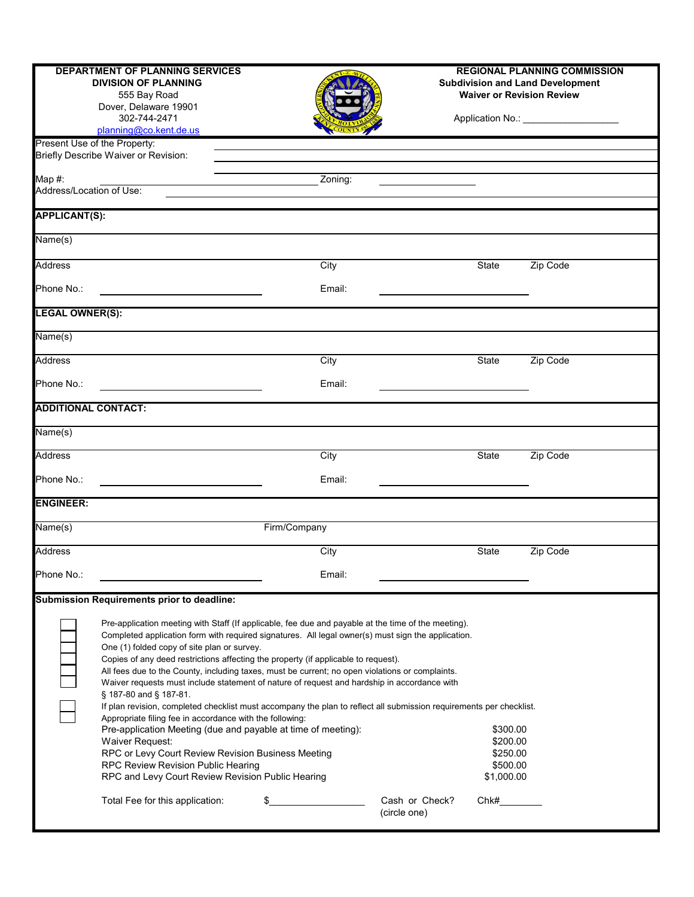|                            | <b>DEPARTMENT OF PLANNING SERVICES</b><br><b>DIVISION OF PLANNING</b><br>555 Bay Road<br>Dover, Delaware 19901<br>302-744-2471<br>planning@co.kent.de.us                                                                                                                                                                                                                                                                                                                                                                                                                                                                                                                                                                                                                                                                                                                                                                                                                                                                              |              |                | <b>REGIONAL PLANNING COMMISSION</b><br><b>Subdivision and Land Development</b><br><b>Waiver or Revision Review</b><br>Application No.: ___________________ |          |
|----------------------------|---------------------------------------------------------------------------------------------------------------------------------------------------------------------------------------------------------------------------------------------------------------------------------------------------------------------------------------------------------------------------------------------------------------------------------------------------------------------------------------------------------------------------------------------------------------------------------------------------------------------------------------------------------------------------------------------------------------------------------------------------------------------------------------------------------------------------------------------------------------------------------------------------------------------------------------------------------------------------------------------------------------------------------------|--------------|----------------|------------------------------------------------------------------------------------------------------------------------------------------------------------|----------|
|                            | Present Use of the Property:                                                                                                                                                                                                                                                                                                                                                                                                                                                                                                                                                                                                                                                                                                                                                                                                                                                                                                                                                                                                          |              |                |                                                                                                                                                            |          |
|                            | Briefly Describe Waiver or Revision:                                                                                                                                                                                                                                                                                                                                                                                                                                                                                                                                                                                                                                                                                                                                                                                                                                                                                                                                                                                                  |              |                |                                                                                                                                                            |          |
| Map #:                     |                                                                                                                                                                                                                                                                                                                                                                                                                                                                                                                                                                                                                                                                                                                                                                                                                                                                                                                                                                                                                                       | Zoning:      |                |                                                                                                                                                            |          |
| Address/Location of Use:   |                                                                                                                                                                                                                                                                                                                                                                                                                                                                                                                                                                                                                                                                                                                                                                                                                                                                                                                                                                                                                                       |              |                |                                                                                                                                                            |          |
| <b>APPLICANT(S):</b>       |                                                                                                                                                                                                                                                                                                                                                                                                                                                                                                                                                                                                                                                                                                                                                                                                                                                                                                                                                                                                                                       |              |                |                                                                                                                                                            |          |
| Name(s)                    |                                                                                                                                                                                                                                                                                                                                                                                                                                                                                                                                                                                                                                                                                                                                                                                                                                                                                                                                                                                                                                       |              |                |                                                                                                                                                            |          |
| <b>Address</b>             |                                                                                                                                                                                                                                                                                                                                                                                                                                                                                                                                                                                                                                                                                                                                                                                                                                                                                                                                                                                                                                       | City         |                | State                                                                                                                                                      | Zip Code |
| Phone No.:                 |                                                                                                                                                                                                                                                                                                                                                                                                                                                                                                                                                                                                                                                                                                                                                                                                                                                                                                                                                                                                                                       | Email:       |                |                                                                                                                                                            |          |
|                            |                                                                                                                                                                                                                                                                                                                                                                                                                                                                                                                                                                                                                                                                                                                                                                                                                                                                                                                                                                                                                                       |              |                |                                                                                                                                                            |          |
| <b>LEGAL OWNER(S):</b>     |                                                                                                                                                                                                                                                                                                                                                                                                                                                                                                                                                                                                                                                                                                                                                                                                                                                                                                                                                                                                                                       |              |                |                                                                                                                                                            |          |
| Name(s)                    |                                                                                                                                                                                                                                                                                                                                                                                                                                                                                                                                                                                                                                                                                                                                                                                                                                                                                                                                                                                                                                       |              |                |                                                                                                                                                            |          |
| Address                    |                                                                                                                                                                                                                                                                                                                                                                                                                                                                                                                                                                                                                                                                                                                                                                                                                                                                                                                                                                                                                                       | City         |                | <b>State</b>                                                                                                                                               | Zip Code |
| Phone No.:                 |                                                                                                                                                                                                                                                                                                                                                                                                                                                                                                                                                                                                                                                                                                                                                                                                                                                                                                                                                                                                                                       | Email:       |                |                                                                                                                                                            |          |
|                            |                                                                                                                                                                                                                                                                                                                                                                                                                                                                                                                                                                                                                                                                                                                                                                                                                                                                                                                                                                                                                                       |              |                |                                                                                                                                                            |          |
| <b>ADDITIONAL CONTACT:</b> |                                                                                                                                                                                                                                                                                                                                                                                                                                                                                                                                                                                                                                                                                                                                                                                                                                                                                                                                                                                                                                       |              |                |                                                                                                                                                            |          |
| Name(s)                    |                                                                                                                                                                                                                                                                                                                                                                                                                                                                                                                                                                                                                                                                                                                                                                                                                                                                                                                                                                                                                                       |              |                |                                                                                                                                                            |          |
| Address                    |                                                                                                                                                                                                                                                                                                                                                                                                                                                                                                                                                                                                                                                                                                                                                                                                                                                                                                                                                                                                                                       | City         |                | <b>State</b>                                                                                                                                               | Zip Code |
|                            |                                                                                                                                                                                                                                                                                                                                                                                                                                                                                                                                                                                                                                                                                                                                                                                                                                                                                                                                                                                                                                       |              |                |                                                                                                                                                            |          |
| Phone No.:                 |                                                                                                                                                                                                                                                                                                                                                                                                                                                                                                                                                                                                                                                                                                                                                                                                                                                                                                                                                                                                                                       | Email:       |                |                                                                                                                                                            |          |
| <b>ENGINEER:</b>           |                                                                                                                                                                                                                                                                                                                                                                                                                                                                                                                                                                                                                                                                                                                                                                                                                                                                                                                                                                                                                                       |              |                |                                                                                                                                                            |          |
| Name(s)                    |                                                                                                                                                                                                                                                                                                                                                                                                                                                                                                                                                                                                                                                                                                                                                                                                                                                                                                                                                                                                                                       | Firm/Company |                |                                                                                                                                                            |          |
| <b>Address</b>             |                                                                                                                                                                                                                                                                                                                                                                                                                                                                                                                                                                                                                                                                                                                                                                                                                                                                                                                                                                                                                                       | City         |                | <b>State</b>                                                                                                                                               | Zip Code |
|                            |                                                                                                                                                                                                                                                                                                                                                                                                                                                                                                                                                                                                                                                                                                                                                                                                                                                                                                                                                                                                                                       |              |                |                                                                                                                                                            |          |
| Phone No.:                 |                                                                                                                                                                                                                                                                                                                                                                                                                                                                                                                                                                                                                                                                                                                                                                                                                                                                                                                                                                                                                                       | Email:       |                |                                                                                                                                                            |          |
|                            | <b>Submission Requirements prior to deadline:</b>                                                                                                                                                                                                                                                                                                                                                                                                                                                                                                                                                                                                                                                                                                                                                                                                                                                                                                                                                                                     |              |                |                                                                                                                                                            |          |
|                            | Pre-application meeting with Staff (If applicable, fee due and payable at the time of the meeting).<br>Completed application form with required signatures. All legal owner(s) must sign the application.<br>One (1) folded copy of site plan or survey.<br>Copies of any deed restrictions affecting the property (if applicable to request).<br>All fees due to the County, including taxes, must be current; no open violations or complaints.<br>Waiver requests must include statement of nature of request and hardship in accordance with<br>§ 187-80 and § 187-81.<br>If plan revision, completed checklist must accompany the plan to reflect all submission requirements per checklist.<br>Appropriate filing fee in accordance with the following:<br>Pre-application Meeting (due and payable at time of meeting):<br>Waiver Request:<br>RPC or Levy Court Review Revision Business Meeting<br>RPC Review Revision Public Hearing<br>RPC and Levy Court Review Revision Public Hearing<br>Total Fee for this application: | \$           | Cash or Check? | \$300.00<br>\$200.00<br>\$250.00<br>\$500.00<br>\$1,000.00<br>Chk#                                                                                         |          |
|                            |                                                                                                                                                                                                                                                                                                                                                                                                                                                                                                                                                                                                                                                                                                                                                                                                                                                                                                                                                                                                                                       |              | (circle one)   |                                                                                                                                                            |          |